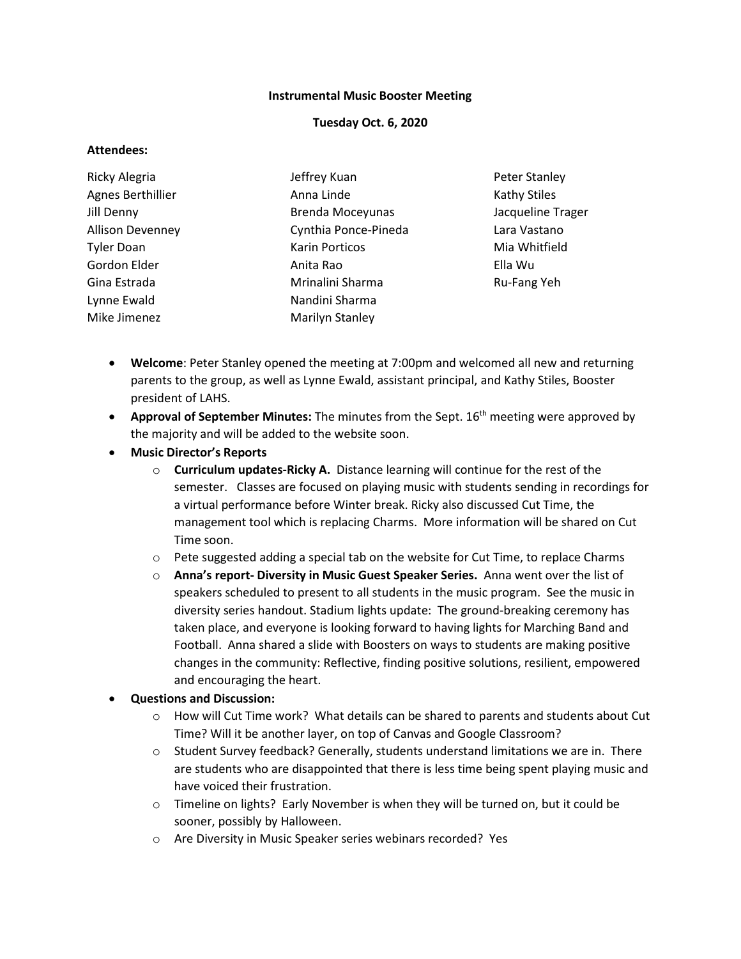## **Instrumental Music Booster Meeting**

## **Tuesday Oct. 6, 2020**

### **Attendees:**

| Ricky Alegria           | Jeffrey Kuan            | <b>Peter Stanley</b> |
|-------------------------|-------------------------|----------------------|
| Agnes Berthillier       | Anna Linde              | <b>Kathy Stiles</b>  |
| Jill Denny              | <b>Brenda Moceyunas</b> | Jacqueline Trager    |
| <b>Allison Devenney</b> | Cynthia Ponce-Pineda    | Lara Vastano         |
| <b>Tyler Doan</b>       | <b>Karin Porticos</b>   | Mia Whitfield        |
| Gordon Elder            | Anita Rao               | Ella Wu              |
| Gina Estrada            | Mrinalini Sharma        | Ru-Fang Yeh          |
| Lynne Ewald             | Nandini Sharma          |                      |
| Mike Jimenez            | Marilyn Stanley         |                      |
|                         |                         |                      |

- **Welcome**: Peter Stanley opened the meeting at 7:00pm and welcomed all new and returning parents to the group, as well as Lynne Ewald, assistant principal, and Kathy Stiles, Booster president of LAHS.
- **Approval of September Minutes:** The minutes from the Sept. 16th meeting were approved by the majority and will be added to the website soon.
- **Music Director's Reports**
	- o **Curriculum updates-Ricky A.** Distance learning will continue for the rest of the semester. Classes are focused on playing music with students sending in recordings for a virtual performance before Winter break. Ricky also discussed Cut Time, the management tool which is replacing Charms. More information will be shared on Cut Time soon.
	- $\circ$  Pete suggested adding a special tab on the website for Cut Time, to replace Charms
	- o **Anna's report- Diversity in Music Guest Speaker Series.** Anna went over the list of speakers scheduled to present to all students in the music program. See the music in diversity series handout. Stadium lights update: The ground-breaking ceremony has taken place, and everyone is looking forward to having lights for Marching Band and Football. Anna shared a slide with Boosters on ways to students are making positive changes in the community: Reflective, finding positive solutions, resilient, empowered and encouraging the heart.

## • **Questions and Discussion:**

- $\circ$  How will Cut Time work? What details can be shared to parents and students about Cut Time? Will it be another layer, on top of Canvas and Google Classroom?
- $\circ$  Student Survey feedback? Generally, students understand limitations we are in. There are students who are disappointed that there is less time being spent playing music and have voiced their frustration.
- $\circ$  Timeline on lights? Early November is when they will be turned on, but it could be sooner, possibly by Halloween.
- o Are Diversity in Music Speaker series webinars recorded? Yes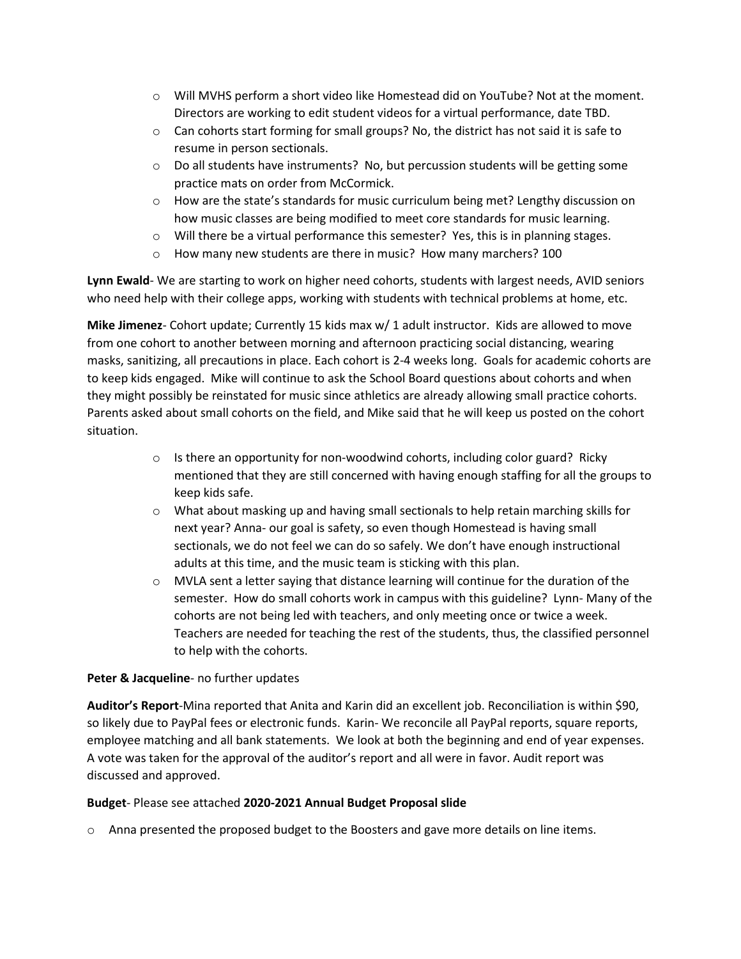- o Will MVHS perform a short video like Homestead did on YouTube? Not at the moment. Directors are working to edit student videos for a virtual performance, date TBD.
- $\circ$  Can cohorts start forming for small groups? No, the district has not said it is safe to resume in person sectionals.
- $\circ$  Do all students have instruments? No, but percussion students will be getting some practice mats on order from McCormick.
- o How are the state's standards for music curriculum being met? Lengthy discussion on how music classes are being modified to meet core standards for music learning.
- $\circ$  Will there be a virtual performance this semester? Yes, this is in planning stages.
- o How many new students are there in music? How many marchers? 100

**Lynn Ewald**- We are starting to work on higher need cohorts, students with largest needs, AVID seniors who need help with their college apps, working with students with technical problems at home, etc.

**Mike Jimenez**- Cohort update; Currently 15 kids max w/ 1 adult instructor. Kids are allowed to move from one cohort to another between morning and afternoon practicing social distancing, wearing masks, sanitizing, all precautions in place. Each cohort is 2-4 weeks long. Goals for academic cohorts are to keep kids engaged. Mike will continue to ask the School Board questions about cohorts and when they might possibly be reinstated for music since athletics are already allowing small practice cohorts. Parents asked about small cohorts on the field, and Mike said that he will keep us posted on the cohort situation.

- $\circ$  Is there an opportunity for non-woodwind cohorts, including color guard? Ricky mentioned that they are still concerned with having enough staffing for all the groups to keep kids safe.
- $\circ$  What about masking up and having small sectionals to help retain marching skills for next year? Anna- our goal is safety, so even though Homestead is having small sectionals, we do not feel we can do so safely. We don't have enough instructional adults at this time, and the music team is sticking with this plan.
- $\circ$  MVLA sent a letter saying that distance learning will continue for the duration of the semester. How do small cohorts work in campus with this guideline? Lynn- Many of the cohorts are not being led with teachers, and only meeting once or twice a week. Teachers are needed for teaching the rest of the students, thus, the classified personnel to help with the cohorts.

# **Peter & Jacqueline**- no further updates

**Auditor's Report**-Mina reported that Anita and Karin did an excellent job. Reconciliation is within \$90, so likely due to PayPal fees or electronic funds. Karin- We reconcile all PayPal reports, square reports, employee matching and all bank statements. We look at both the beginning and end of year expenses. A vote was taken for the approval of the auditor's report and all were in favor. Audit report was discussed and approved.

# **Budget**- Please see attached **2020-2021 Annual Budget Proposal slide**

o Anna presented the proposed budget to the Boosters and gave more details on line items.